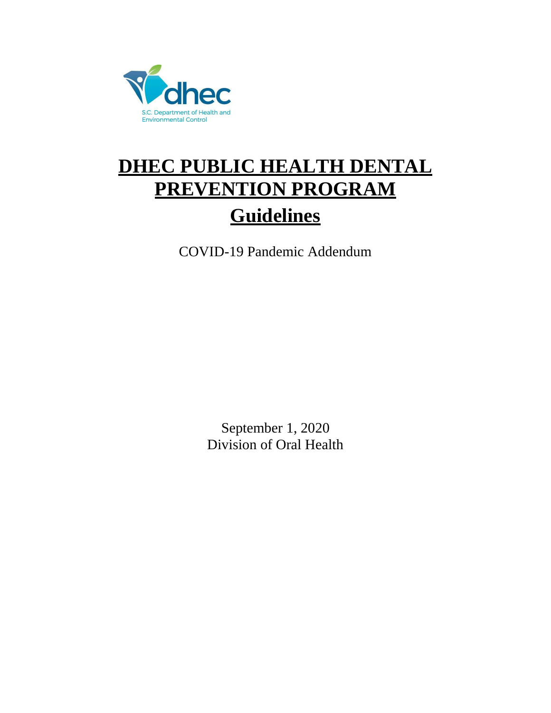

# **DHEC PUBLIC HEALTH DENTAL PREVENTION PROGRAM Guidelines**

COVID-19 Pandemic Addendum

September 1, 2020 Division of Oral Health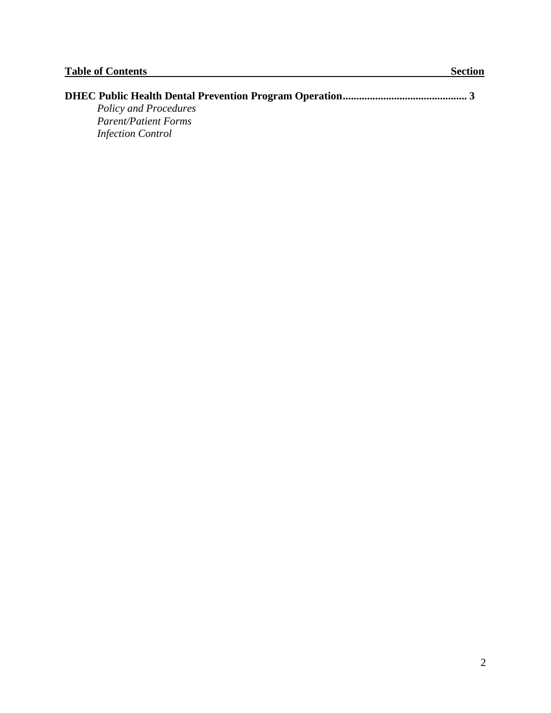| Policy and Procedures       |  |
|-----------------------------|--|
| <b>Parent/Patient Forms</b> |  |
| <b>Infection Control</b>    |  |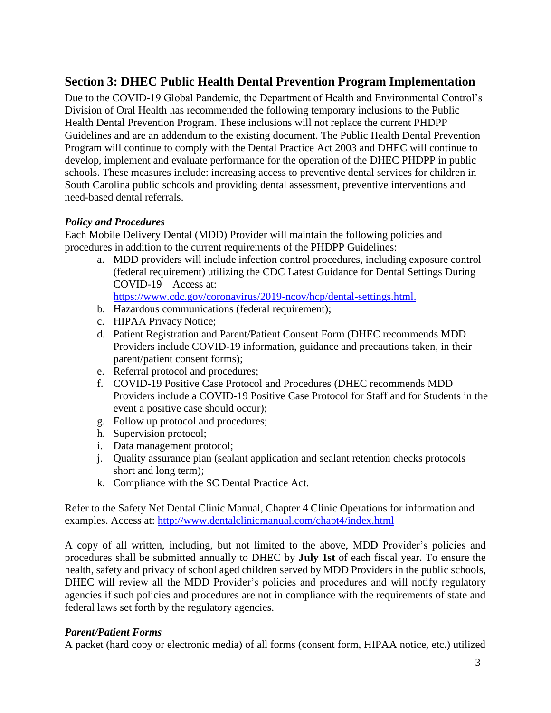## **Section 3: DHEC Public Health Dental Prevention Program Implementation**

Due to the COVID-19 Global Pandemic, the Department of Health and Environmental Control's Division of Oral Health has recommended the following temporary inclusions to the Public Health Dental Prevention Program. These inclusions will not replace the current PHDPP Guidelines and are an addendum to the existing document. The Public Health Dental Prevention Program will continue to comply with the Dental Practice Act 2003 and DHEC will continue to develop, implement and evaluate performance for the operation of the DHEC PHDPP in public schools. These measures include: increasing access to preventive dental services for children in South Carolina public schools and providing dental assessment, preventive interventions and need-based dental referrals.

#### *Policy and Procedures*

Each Mobile Delivery Dental (MDD) Provider will maintain the following policies and procedures in addition to the current requirements of the PHDPP Guidelines:

a. MDD providers will include infection control procedures, including exposure control (federal requirement) utilizing the CDC Latest Guidance for Dental Settings During COVID-19 – Access at:

[https://www.cdc.gov/coronavirus/2019-ncov/hcp/dental-settings.html.](https://www.cdc.gov/coronavirus/2019-ncov/hcp/dental-settings.html)

- b. Hazardous communications (federal requirement);
- c. HIPAA Privacy Notice;
- d. Patient Registration and Parent/Patient Consent Form (DHEC recommends MDD Providers include COVID-19 information, guidance and precautions taken, in their parent/patient consent forms);
- e. Referral protocol and procedures;
- f. COVID-19 Positive Case Protocol and Procedures (DHEC recommends MDD Providers include a COVID-19 Positive Case Protocol for Staff and for Students in the event a positive case should occur);
- g. Follow up protocol and procedures;
- h. Supervision protocol;
- i. Data management protocol;
- j. Quality assurance plan (sealant application and sealant retention checks protocols short and long term);
- k. Compliance with the SC Dental Practice Act.

Refer to the Safety Net Dental Clinic Manual, Chapter 4 Clinic Operations for information and examples. Access at:<http://www.dentalclinicmanual.com/chapt4/index.html>

A copy of all written, including, but not limited to the above, MDD Provider's policies and procedures shall be submitted annually to DHEC by **July 1st** of each fiscal year. To ensure the health, safety and privacy of school aged children served by MDD Providers in the public schools, DHEC will review all the MDD Provider's policies and procedures and will notify regulatory agencies if such policies and procedures are not in compliance with the requirements of state and federal laws set forth by the regulatory agencies.

### *Parent/Patient Forms*

A packet (hard copy or electronic media) of all forms (consent form, HIPAA notice, etc.) utilized